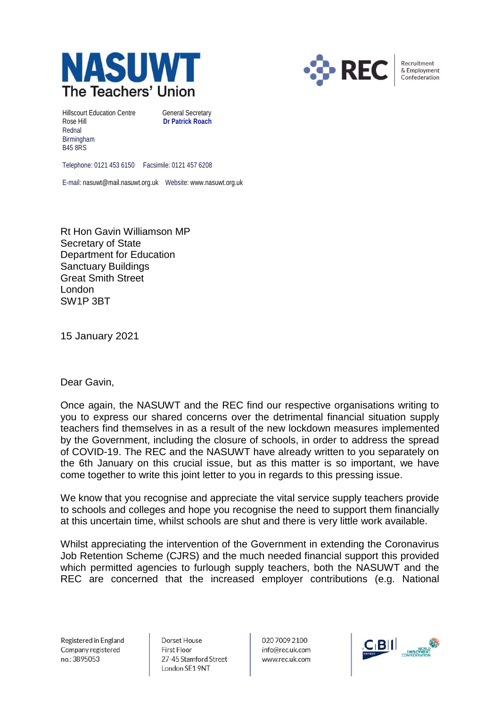



Recruitment & Employment Confederation

Hillscourt Education Centre **General Secretary** Rose Hill **Dr Patrick Roach** Rednal Birmingham B45 8RS

Telephone: 0121 453 6150 Facsimile: 0121 457 6208

E-mail: nasuwt@mail.nasuwt.org.uk Website: www.nasuwt.org.uk

Rt Hon Gavin Williamson MP Secretary of State Department for Education Sanctuary Buildings Great Smith Street London SW1P 3BT

15 January 2021

## Dear Gavin,

Once again, the NASUWT and the REC find our respective organisations writing to you to express our shared concerns over the detrimental financial situation supply teachers find themselves in as a result of the new lockdown measures implemented by the Government, including the closure of schools, in order to address the spread of COVID-19. The REC and the NASUWT have already written to you separately on the 6th January on this crucial issue, but as this matter is so important, we have come together to write this joint letter to you in regards to this pressing issue.

We know that you recognise and appreciate the vital service supply teachers provide to schools and colleges and hope you recognise the need to support them financially at this uncertain time, whilst schools are shut and there is very little work available.

Whilst appreciating the intervention of the Government in extending the Coronavirus Job Retention Scheme (CJRS) and the much needed financial support this provided which permitted agencies to furlough supply teachers, both the NASUWT and the REC are concerned that the increased employer contributions (e.g. National

Registered in England Company registered no.: 3895053

Dorset House **First Floor** 27-45 Stamford Street London SE1 9NT

020 7009 2100 info@rec.uk.com www.rec.uk.com